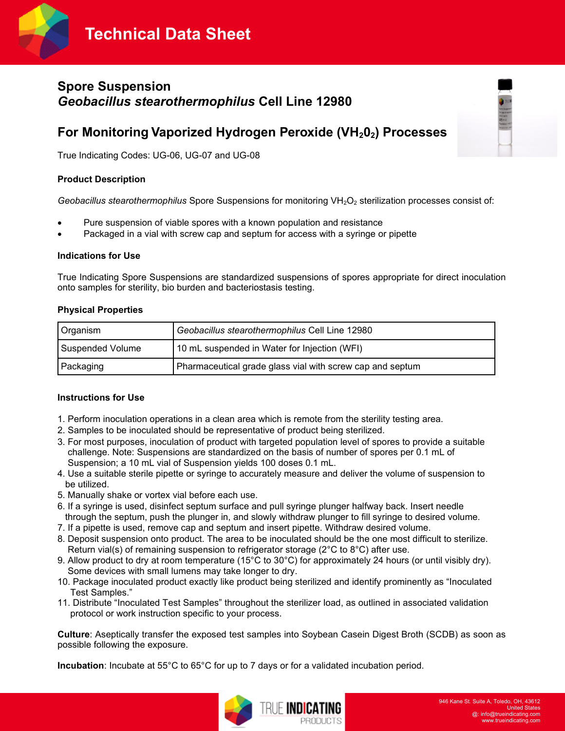**Technical Data Sheet**



# **Spore Suspension** *Geobacillus stearothermophilus* **Cell Line 12980**

# **For Monitoring Vaporized Hydrogen Peroxide (VH202) Processes**

True Indicating Codes: UG-06, UG-07 and UG-08

## **Product Description**

*Geobacillus stearothermophilus Spore Suspensions for monitoring VH<sub>2</sub>O<sub>2</sub> sterilization processes consist of:* 

- Pure suspension of viable spores with a known population and resistance
- Packaged in a vial with screw cap and septum for access with a syringe or pipette

#### **Indications for Use**

True Indicating Spore Suspensions are standardized suspensions of spores appropriate for direct inoculation onto samples for sterility, bio burden and bacteriostasis testing.

#### **Physical Properties**

| Organism                | Geobacillus stearothermophilus Cell Line 12980            |  |
|-------------------------|-----------------------------------------------------------|--|
| <b>Suspended Volume</b> | 10 mL suspended in Water for Injection (WFI)              |  |
| Packaging               | Pharmaceutical grade glass vial with screw cap and septum |  |

## **Instructions for Use**

- 1. Perform inoculation operations in a clean area which is remote from the sterility testing area.
- 2. Samples to be inoculated should be representative of product being sterilized.
- 3. For most purposes, inoculation of product with targeted population level of spores to provide a suitable challenge. Note: Suspensions are standardized on the basis of number of spores per 0.1 mL of Suspension; a 10 mL vial of Suspension yields 100 doses 0.1 mL.
- 4. Use a suitable sterile pipette or syringe to accurately measure and deliver the volume of suspension to be utilized.
- 5. Manually shake or vortex vial before each use.
- 6. If a syringe is used, disinfect septum surface and pull syringe plunger halfway back. Insert needle through the septum, push the plunger in, and slowly withdraw plunger to fill syringe to desired volume.
- 7. If a pipette is used, remove cap and septum and insert pipette. Withdraw desired volume.
- 8. Deposit suspension onto product. The area to be inoculated should be the one most difficult to sterilize. Return vial(s) of remaining suspension to refrigerator storage (2°C to 8°C) after use.
- 9. Allow product to dry at room temperature (15°C to 30°C) for approximately 24 hours (or until visibly dry). Some devices with small lumens may take longer to dry.
- 10. Package inoculated product exactly like product being sterilized and identify prominently as "Inoculated Test Samples."
- 11. Distribute "Inoculated Test Samples" throughout the sterilizer load, as outlined in associated validation protocol or work instruction specific to your process.

**Culture**: Aseptically transfer the exposed test samples into Soybean Casein Digest Broth (SCDB) as soon as possible following the exposure.

**Incubation**: Incubate at 55°C to 65°C for up to 7 days or for a validated incubation period.